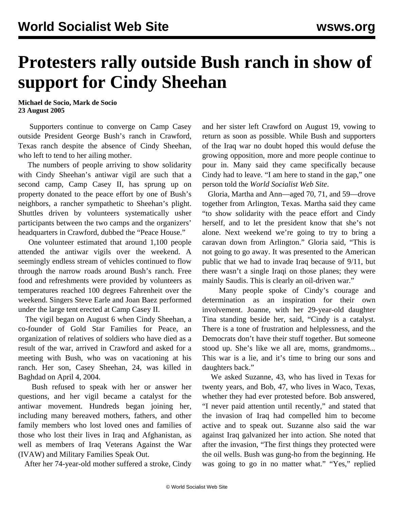## **Protesters rally outside Bush ranch in show of support for Cindy Sheehan**

**Michael de Socio, Mark de Socio 23 August 2005**

 Supporters continue to converge on Camp Casey outside President George Bush's ranch in Crawford, Texas ranch despite the absence of Cindy Sheehan, who left to tend to her ailing mother.

 The numbers of people arriving to show solidarity with Cindy Sheehan's antiwar vigil are such that a second camp, Camp Casey II, has sprung up on property donated to the peace effort by one of Bush's neighbors, a rancher sympathetic to Sheehan's plight. Shuttles driven by volunteers systematically usher participants between the two camps and the organizers' headquarters in Crawford, dubbed the "Peace House."

 One volunteer estimated that around 1,100 people attended the antiwar vigils over the weekend. A seemingly endless stream of vehicles continued to flow through the narrow roads around Bush's ranch. Free food and refreshments were provided by volunteers as temperatures reached 100 degrees Fahrenheit over the weekend. Singers Steve Earle and Joan Baez performed under the large tent erected at Camp Casey II.

 The vigil began on August 6 when Cindy Sheehan, a co-founder of Gold Star Families for Peace, an organization of relatives of soldiers who have died as a result of the war, arrived in Crawford and asked for a meeting with Bush, who was on vacationing at his ranch. Her son, Casey Sheehan, 24, was killed in Baghdad on April 4, 2004.

 Bush refused to speak with her or answer her questions, and her vigil became a catalyst for the antiwar movement. Hundreds began joining her, including many bereaved mothers, fathers, and other family members who lost loved ones and families of those who lost their lives in Iraq and Afghanistan, as well as members of Iraq Veterans Against the War (IVAW) and Military Families Speak Out.

After her 74-year-old mother suffered a stroke, Cindy

and her sister left Crawford on August 19, vowing to return as soon as possible. While Bush and supporters of the Iraq war no doubt hoped this would defuse the growing opposition, more and more people continue to pour in. Many said they came specifically because Cindy had to leave. "I am here to stand in the gap," one person told the *World Socialist Web Site*.

 Gloria, Martha and Ann—aged 70, 71, and 59—drove together from Arlington, Texas. Martha said they came "to show solidarity with the peace effort and Cindy herself, and to let the president know that she's not alone. Next weekend we're going to try to bring a caravan down from Arlington." Gloria said, "This is not going to go away. It was presented to the American public that we had to invade Iraq because of 9/11, but there wasn't a single Iraqi on those planes; they were mainly Saudis. This is clearly an oil-driven war."

 Many people spoke of Cindy's courage and determination as an inspiration for their own involvement. Joanne, with her 29-year-old daughter Tina standing beside her, said, "Cindy is a catalyst. There is a tone of frustration and helplessness, and the Democrats don't have their stuff together. But someone stood up. She's like we all are, moms, grandmoms... This war is a lie, and it's time to bring our sons and daughters back."

 We asked Suzanne, 43, who has lived in Texas for twenty years, and Bob, 47, who lives in Waco, Texas, whether they had ever protested before. Bob answered, "I never paid attention until recently," and stated that the invasion of Iraq had compelled him to become active and to speak out. Suzanne also said the war against Iraq galvanized her into action. She noted that after the invasion, "The first things they protected were the oil wells. Bush was gung-ho from the beginning. He was going to go in no matter what." "Yes," replied